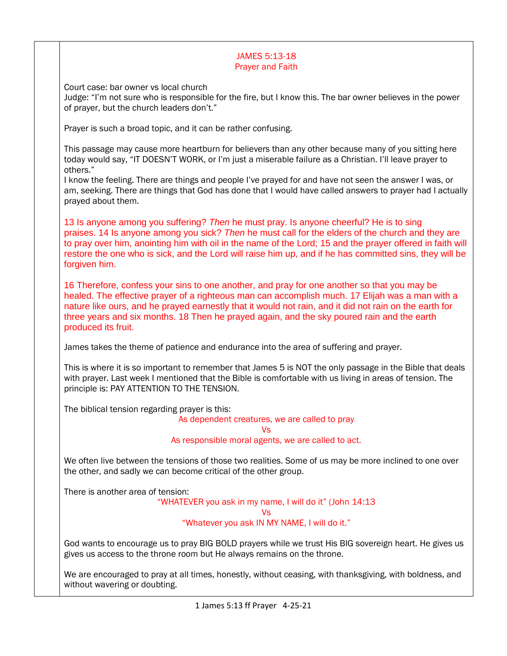### JAMES 5:13-18 Prayer and Faith

Court case: bar owner vs local church

Judge: "I'm not sure who is responsible for the fire, but I know this. The bar owner believes in the power of prayer, but the church leaders don't."

Prayer is such a broad topic, and it can be rather confusing.

This passage may cause more heartburn for believers than any other because many of you sitting here today would say, "IT DOESN'T WORK, or I'm just a miserable failure as a Christian. I'll leave prayer to others."

I know the feeling. There are things and people I've prayed for and have not seen the answer I was, or am, seeking. There are things that God has done that I would have called answers to prayer had I actually prayed about them.

13 Is anyone among you suffering? *Then* he must pray. Is anyone cheerful? He is to sing praises. 14 Is anyone among you sick? *Then* he must call for the elders of the church and they are to pray over him, anointing him with oil in the name of the Lord; 15 and the prayer offered in faith will restore the one who is sick, and the Lord will raise him up, and if he has committed sins, they will be forgiven him.

16 Therefore, confess your sins to one another, and pray for one another so that you may be healed. The effective prayer of a righteous man can accomplish much. 17 Elijah was a man with a nature like ours, and he prayed earnestly that it would not rain, and it did not rain on the earth for three years and six months. 18 Then he prayed again, and the sky poured rain and the earth produced its fruit.

James takes the theme of patience and endurance into the area of suffering and prayer.

This is where it is so important to remember that James 5 is NOT the only passage in the Bible that deals with prayer. Last week I mentioned that the Bible is comfortable with us living in areas of tension. The principle is: PAY ATTENTION TO THE TENSION.

The biblical tension regarding prayer is this:

#### As dependent creatures, we are called to pray

Vs

As responsible moral agents, we are called to act.

We often live between the tensions of those two realities. Some of us may be more inclined to one over the other, and sadly we can become critical of the other group.

There is another area of tension:

"WHATEVER you ask in my name, I will do it" (John 14:13

Vs

"Whatever you ask IN MY NAME, I will do it."

God wants to encourage us to pray BIG BOLD prayers while we trust His BIG sovereign heart. He gives us gives us access to the throne room but He always remains on the throne.

We are encouraged to pray at all times, honestly, without ceasing, with thanksgiving, with boldness, and without wavering or doubting.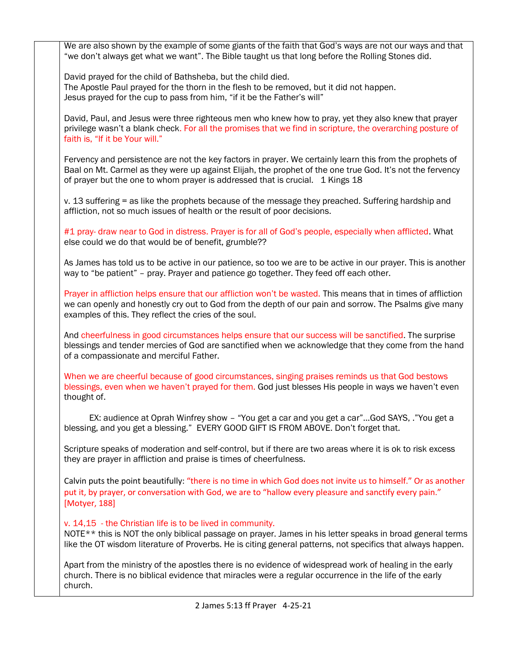We are also shown by the example of some giants of the faith that God's ways are not our ways and that "we don't always get what we want". The Bible taught us that long before the Rolling Stones did.

David prayed for the child of Bathsheba, but the child died. The Apostle Paul prayed for the thorn in the flesh to be removed, but it did not happen. Jesus prayed for the cup to pass from him, "if it be the Father's will"

David, Paul, and Jesus were three righteous men who knew how to pray, yet they also knew that prayer privilege wasn't a blank check. For all the promises that we find in scripture, the overarching posture of faith is, "If it be Your will."

Fervency and persistence are not the key factors in prayer. We certainly learn this from the prophets of Baal on Mt. Carmel as they were up against Elijah, the prophet of the one true God. It's not the fervency of prayer but the one to whom prayer is addressed that is crucial. 1 Kings 18

v. 13 suffering = as like the prophets because of the message they preached. Suffering hardship and affliction, not so much issues of health or the result of poor decisions.

#1 pray- draw near to God in distress. Prayer is for all of God's people, especially when afflicted. What else could we do that would be of benefit, grumble??

As James has told us to be active in our patience, so too we are to be active in our prayer. This is another way to "be patient" – pray. Prayer and patience go together. They feed off each other.

Prayer in affliction helps ensure that our affliction won't be wasted. This means that in times of affliction we can openly and honestly cry out to God from the depth of our pain and sorrow. The Psalms give many examples of this. They reflect the cries of the soul.

And cheerfulness in good circumstances helps ensure that our success will be sanctified. The surprise blessings and tender mercies of God are sanctified when we acknowledge that they come from the hand of a compassionate and merciful Father.

When we are cheerful because of good circumstances, singing praises reminds us that God bestows blessings, even when we haven't prayed for them. God just blesses His people in ways we haven't even thought of.

 EX: audience at Oprah Winfrey show – "You get a car and you get a car"…God SAYS, ."You get a blessing, and you get a blessing." EVERY GOOD GIFT IS FROM ABOVE. Don't forget that.

Scripture speaks of moderation and self-control, but if there are two areas where it is ok to risk excess they are prayer in affliction and praise is times of cheerfulness.

Calvin puts the point beautifully: "there is no time in which God does not invite us to himself." Or as another put it, by prayer, or conversation with God, we are to "hallow every pleasure and sanctify every pain." [Motyer, 188]

v. 14,15 - the Christian life is to be lived in community.

NOTE<sup>\*\*</sup> this is NOT the only biblical passage on prayer. James in his letter speaks in broad general terms like the OT wisdom literature of Proverbs. He is citing general patterns, not specifics that always happen.

Apart from the ministry of the apostles there is no evidence of widespread work of healing in the early church. There is no biblical evidence that miracles were a regular occurrence in the life of the early church.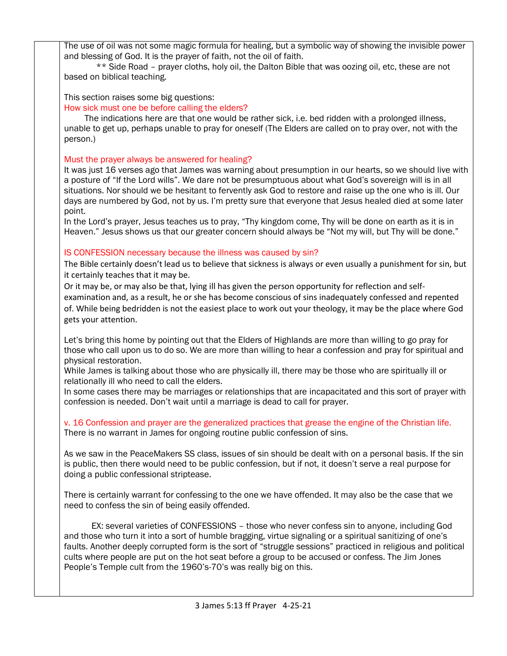The use of oil was not some magic formula for healing, but a symbolic way of showing the invisible power and blessing of God. It is the prayer of faith, not the oil of faith.

 \*\* Side Road – prayer cloths, holy oil, the Dalton Bible that was oozing oil, etc, these are not based on biblical teaching.

This section raises some big questions:

How sick must one be before calling the elders?

 The indications here are that one would be rather sick, i.e. bed ridden with a prolonged illness, unable to get up, perhaps unable to pray for oneself (The Elders are called on to pray over, not with the person.)

# Must the prayer always be answered for healing?

It was just 16 verses ago that James was warning about presumption in our hearts, so we should live with a posture of "If the Lord wills". We dare not be presumptuous about what God's sovereign will is in all situations. Nor should we be hesitant to fervently ask God to restore and raise up the one who is ill. Our days are numbered by God, not by us. I'm pretty sure that everyone that Jesus healed died at some later point.

In the Lord's prayer, Jesus teaches us to pray, "Thy kingdom come, Thy will be done on earth as it is in Heaven." Jesus shows us that our greater concern should always be "Not my will, but Thy will be done."

# IS CONFESSION necessary because the illness was caused by sin?

The Bible certainly doesn't lead us to believe that sickness is always or even usually a punishment for sin, but it certainly teaches that it may be.

Or it may be, or may also be that, lying ill has given the person opportunity for reflection and selfexamination and, as a result, he or she has become conscious of sins inadequately confessed and repented of. While being bedridden is not the easiest place to work out your theology, it may be the place where God gets your attention.

Let's bring this home by pointing out that the Elders of Highlands are more than willing to go pray for those who call upon us to do so. We are more than willing to hear a confession and pray for spiritual and physical restoration.

While James is talking about those who are physically ill, there may be those who are spiritually ill or relationally ill who need to call the elders.

In some cases there may be marriages or relationships that are incapacitated and this sort of prayer with confession is needed. Don't wait until a marriage is dead to call for prayer.

v. 16 Confession and prayer are the generalized practices that grease the engine of the Christian life. There is no warrant in James for ongoing routine public confession of sins.

As we saw in the PeaceMakers SS class, issues of sin should be dealt with on a personal basis. If the sin is public, then there would need to be public confession, but if not, it doesn't serve a real purpose for doing a public confessional striptease.

There is certainly warrant for confessing to the one we have offended. It may also be the case that we need to confess the sin of being easily offended.

 EX: several varieties of CONFESSIONS – those who never confess sin to anyone, including God and those who turn it into a sort of humble bragging, virtue signaling or a spiritual sanitizing of one's faults. Another deeply corrupted form is the sort of "struggle sessions" practiced in religious and political cults where people are put on the hot seat before a group to be accused or confess. The Jim Jones People's Temple cult from the 1960's-70's was really big on this.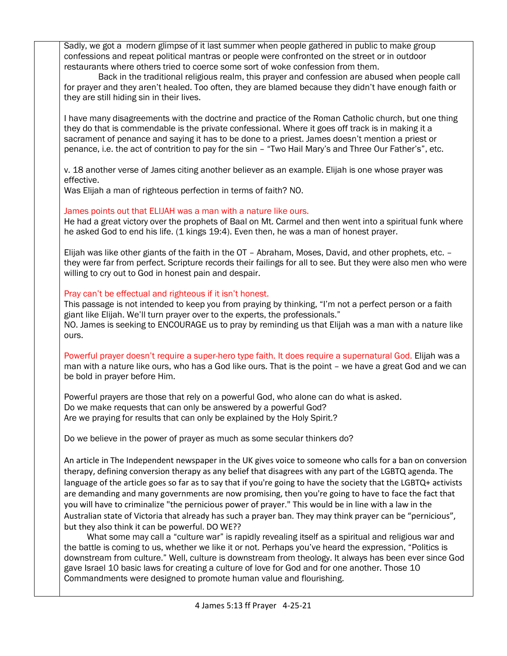Sadly, we got a modern glimpse of it last summer when people gathered in public to make group confessions and repeat political mantras or people were confronted on the street or in outdoor restaurants where others tried to coerce some sort of woke confession from them.

 Back in the traditional religious realm, this prayer and confession are abused when people call for prayer and they aren't healed. Too often, they are blamed because they didn't have enough faith or they are still hiding sin in their lives.

I have many disagreements with the doctrine and practice of the Roman Catholic church, but one thing they do that is commendable is the private confessional. Where it goes off track is in making it a sacrament of penance and saying it has to be done to a priest. James doesn't mention a priest or penance, i.e. the act of contrition to pay for the sin – "Two Hail Mary's and Three Our Father's", etc.

v. 18 another verse of James citing another believer as an example. Elijah is one whose prayer was effective.

Was Elijah a man of righteous perfection in terms of faith? NO.

### James points out that ELIJAH was a man with a nature like ours.

He had a great victory over the prophets of Baal on Mt. Carmel and then went into a spiritual funk where he asked God to end his life. (1 kings 19:4). Even then, he was a man of honest prayer.

Elijah was like other giants of the faith in the OT – Abraham, Moses, David, and other prophets, etc. – they were far from perfect. Scripture records their failings for all to see. But they were also men who were willing to cry out to God in honest pain and despair.

### Pray can't be effectual and righteous if it isn't honest.

This passage is not intended to keep you from praying by thinking, "I'm not a perfect person or a faith giant like Elijah. We'll turn prayer over to the experts, the professionals." NO. James is seeking to ENCOURAGE us to pray by reminding us that Elijah was a man with a nature like ours.

Powerful prayer doesn't require a super-hero type faith. It does require a supernatural God. Elijah was a man with a nature like ours, who has a God like ours. That is the point – we have a great God and we can be bold in prayer before Him.

Powerful prayers are those that rely on a powerful God, who alone can do what is asked. Do we make requests that can only be answered by a powerful God? Are we praying for results that can only be explained by the Holy Spirit.?

Do we believe in the power of prayer as much as some secular thinkers do?

An article in The Independent newspaper in the UK gives voice to someone who calls for a ban on conversion therapy, defining conversion therapy as any belief that disagrees with any part of the LGBTQ agenda. The language of the article goes so far as to say that if you're going to have the society that the LGBTQ+ activists are demanding and many governments are now promising, then you're going to have to face the fact that you will have to criminalize "the pernicious power of prayer." This would be in line with a law in the Australian state of Victoria that already has such a prayer ban. They may think prayer can be "pernicious", but they also think it can be powerful. DO WE??

 What some may call a "culture war" is rapidly revealing itself as a spiritual and religious war and the battle is coming to us, whether we like it or not. Perhaps you've heard the expression, "Politics is downstream from culture." Well, culture is downstream from theology. It always has been ever since God gave Israel 10 basic laws for creating a culture of love for God and for one another. Those 10 Commandments were designed to promote human value and flourishing.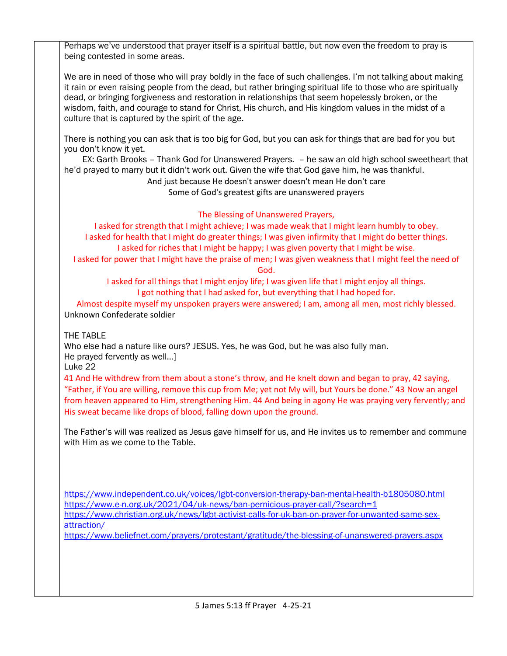Perhaps we've understood that prayer itself is a spiritual battle, but now even the freedom to pray is being contested in some areas.

We are in need of those who will pray boldly in the face of such challenges. I'm not talking about making it rain or even raising people from the dead, but rather bringing spiritual life to those who are spiritually dead, or bringing forgiveness and restoration in relationships that seem hopelessly broken, or the wisdom, faith, and courage to stand for Christ, His church, and His kingdom values in the midst of a culture that is captured by the spirit of the age.

There is nothing you can ask that is too big for God, but you can ask for things that are bad for you but you don't know it yet.

 EX: Garth Brooks – Thank God for Unanswered Prayers. – he saw an old high school sweetheart that he'd prayed to marry but it didn't work out. Given the wife that God gave him, he was thankful.

And just because He doesn't answer doesn't mean He don't care

Some of God's greatest gifts are unanswered prayers

# The Blessing of Unanswered Prayers,

I asked for strength that I might achieve; I was made weak that I might learn humbly to obey. I asked for health that I might do greater things; I was given infirmity that I might do better things. I asked for riches that I might be happy; I was given poverty that I might be wise. I asked for power that I might have the praise of men; I was given weakness that I might feel the need of God.

I asked for all things that I might enjoy life; I was given life that I might enjoy all things. I got nothing that I had asked for, but everything that I had hoped for.

Almost despite myself my unspoken prayers were answered; I am, among all men, most richly blessed. Unknown Confederate soldier

### THE TABLE

Who else had a nature like ours? JESUS. Yes, he was God, but he was also fully man. He prayed fervently as well…]

Luke 22

41 And He withdrew from them about a stone's throw, and He knelt down and began to pray, 42 saying, "Father, if You are willing, remove this cup from Me; yet not My will, but Yours be done." 43 Now an angel from heaven appeared to Him, strengthening Him. 44 And being in agony He was praying very fervently; and His sweat became like drops of blood, falling down upon the ground.

The Father's will was realized as Jesus gave himself for us, and He invites us to remember and commune with Him as we come to the Table.

<https://www.independent.co.uk/voices/lgbt-conversion-therapy-ban-mental-health-b1805080.html> <https://www.e-n.org.uk/2021/04/uk-news/ban-pernicious-prayer-call/?search=1> [https://www.christian.org.uk/news/lgbt-activist-calls-for-uk-ban-on-prayer-for-unwanted-same-sex](https://www.christian.org.uk/news/lgbt-activist-calls-for-uk-ban-on-prayer-for-unwanted-same-sex-attraction/)[attraction/](https://www.christian.org.uk/news/lgbt-activist-calls-for-uk-ban-on-prayer-for-unwanted-same-sex-attraction/)

<https://www.beliefnet.com/prayers/protestant/gratitude/the-blessing-of-unanswered-prayers.aspx>